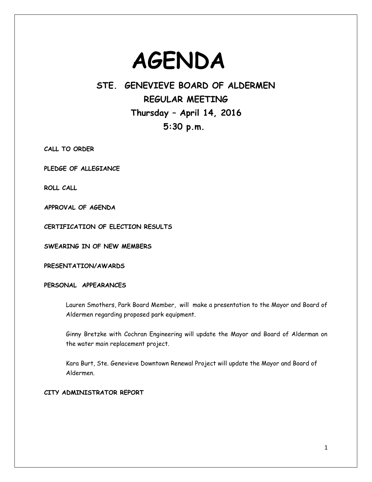# **AGENDA**

# **STE. GENEVIEVE BOARD OF ALDERMEN REGULAR MEETING Thursday – April 14, 2016 5:30 p.m.**

**CALL TO ORDER**

**PLEDGE OF ALLEGIANCE**

**ROLL CALL** 

**APPROVAL OF AGENDA**

**CERTIFICATION OF ELECTION RESULTS**

**SWEARING IN OF NEW MEMBERS**

**PRESENTATION/AWARDS**

# **PERSONAL APPEARANCES**

Lauren Smothers, Park Board Member, will make a presentation to the Mayor and Board of Aldermen regarding proposed park equipment.

Ginny Bretzke with Cochran Engineering will update the Mayor and Board of Alderman on the water main replacement project.

Kara Burt, Ste. Genevieve Downtown Renewal Project will update the Mayor and Board of Aldermen.

# **CITY ADMINISTRATOR REPORT**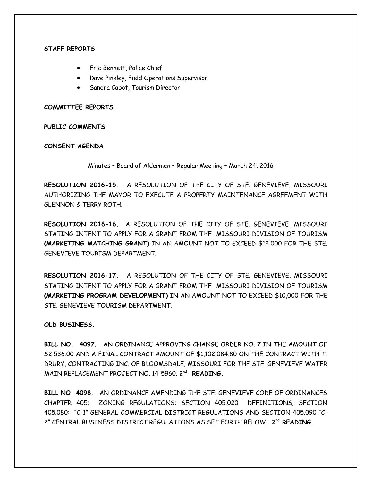#### **STAFF REPORTS**

- **•** Eric Bennett, Police Chief
- Dave Pinkley, Field Operations Supervisor
- Sandra Cabot, Tourism Director

#### **COMMITTEE REPORTS**

**PUBLIC COMMENTS**

#### **CONSENT AGENDA**

Minutes – Board of Aldermen – Regular Meeting – March 24, 2016

**RESOLUTION 2016-15.** A RESOLUTION OF THE CITY OF STE. GENEVIEVE, MISSOURI AUTHORIZING THE MAYOR TO EXECUTE A PROPERTY MAINTENANCE AGREEMENT WITH GLENNON & TERRY ROTH.

**RESOLUTION 2016-16.** A RESOLUTION OF THE CITY OF STE. GENEVIEVE, MISSOURI STATING INTENT TO APPLY FOR A GRANT FROM THE MISSOURI DIVISION OF TOURISM **(MARKETING MATCHING GRANT)** IN AN AMOUNT NOT TO EXCEED \$12,000 FOR THE STE. GENEVIEVE TOURISM DEPARTMENT.

**RESOLUTION 2016-17.** A RESOLUTION OF THE CITY OF STE. GENEVIEVE, MISSOURI STATING INTENT TO APPLY FOR A GRANT FROM THE MISSOURI DIVISION OF TOURISM **(MARKETING PROGRAM DEVELOPMENT)** IN AN AMOUNT NOT TO EXCEED \$10,000 FOR THE STE. GENEVIEVE TOURISM DEPARTMENT.

# **OLD BUSINESS.**

**BILL NO. 4097.** AN ORDINANCE APPROVING CHANGE ORDER NO. 7 IN THE AMOUNT OF \$2,536.00 AND A FINAL CONTRACT AMOUNT OF \$1,102,084.80 ON THE CONTRACT WITH T. DRURY, CONTRACTING INC. OF BLOOMSDALE, MISSOURI FOR THE STE. GENEVIEVE WATER MAIN REPLACEMENT PROJECT NO. 14-5960. **2 nd READING.** 

**BILL NO. 4098.** AN ORDINANCE AMENDING THE STE. GENEVIEVE CODE OF ORDINANCES CHAPTER 405: ZONING REGULATIONS; SECTION 405.020 DEFINITIONS; SECTION 405.080: "C-1" GENERAL COMMERCIAL DISTRICT REGULATIONS AND SECTION 405.090 "C-2" CENTRAL BUSINESS DISTRICT REGULATIONS AS SET FORTH BELOW. **2nd READING.**